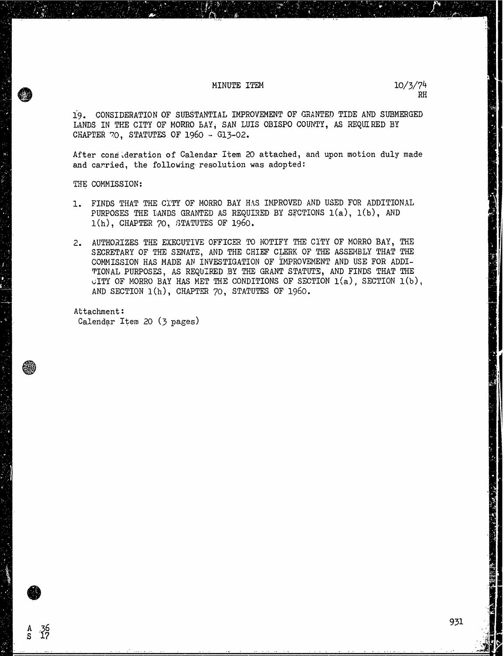### MINUTE ITEM  $10/3/74$

19. CONSIDERATION OF SUBSTANTIAL IMPROVEMENT OF GRANTED TIDE AND SUBMERGED LANDS IN THE CITY OF MORRO BAY, SAN LUIS OBISPO COUNTY, AS REQUIRED BY CHAPTER 70, STATUTES OF 1960 -- G13-02.

After consideration of Calendar Item 20 attached, and upon motion duly made and carried, the following resolution was adopted:

THE COMMISSION:

 $^{36}_{17}$ 

- 1. FINDS THAT THE CITY OF MORRO BAY HAS IMPROVED AND USED FOR ADDITIONAL PURPOSES THE LANDS GRANTED AS REQUIRED BY SECTIONS 1(a), 1(b), AND 1(h), CHAPTER 70, STATUTES OF 1960.
- 2. AUTHORIZES THE EXECUTIVE OFFICER TO NOTIFY THE CITY OF MORRO BAY, THE SECRETARY OF THE SENATE, AND THE CHIEF CLERK OF THE ASSEMBLY THAT THE COMMISSION HAS MADE AN INVESTIGATION OF IMPROVEMENT AND USE FOR ADDI-TIONAL PURPOSES, AS REQUIRED BY THE GRANT STATUTE, AND FINDS THAT THE CITY OF MORRO BAY HAS MET THE CONDITIONS OF SECTION  $1(a)$ , SECTION  $1(b)$ , AND SECTION 1(h), CHAPTER 70, STATUTES OF 1960.

Attachment : Calendar Item 20 (3 pages)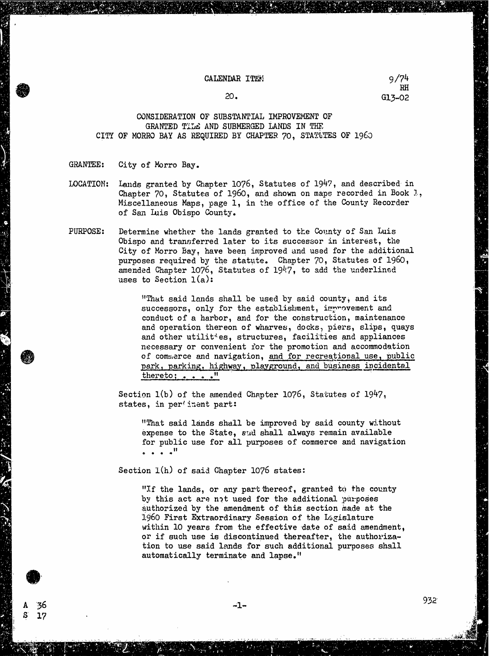#### CALENDAR ITEM 9/74

RH 20. G13-02

## CONSIDERATION OF SUBSTANTIAL IMPROVEMENT OF GRANTED TILE AND SUBMERGED LANDS IN THE CITY OF MORRO BAY AS REQUIRED BY CHAPTER 70, STATUTES OF 1960

### GRANTEE: City of Morro Bay.

A S

36 17

- LOCATION: Lands granted by Chapter 1076, Statutes of 1947, and described in Chapter 70, Statutes of 1960, and shown on maps recorded in Book  $l$ , Miscellaneous Maps, page 1, in the office of the County Recorder of San Luis Obispo County.
- PURPOSE: Determine whether the lands granted to the County of San Luis Obispo and transferred later to its successor in interest, the City of Morro Bay, have been improved and used for the additional purposes required by the statute. Chapter 70, Statutes of 1960, amended Chapter 1076, Statutes of 1947, to add the underlined uses to Section 1(a):

"That said lands shall be used by said county, and its successors, only for the establishment, improvement and conduct of a harbor, and for the construction, maintenance and operation thereon of wharves, docks, piers, slips, quays and other utilities, structures, facilities and appliances necessary or convenient for the promotion and accommodation of commerce and navigation, and for recreational use, public park, parking, highway, playground, and business incidental thereto; . .

Section 1(b) of the amended Chapter 1076, Statutes of 1947, states, in pertinent part:

"That said lands shall be improved by said county without expense to the State, and shall always remain available for public use for all purposes of commerce and navigation

Section 1(h) of said Chapter 1076 states:

"If the lands, or any part thereof, granted to the county by this act are not used for the additional 'purposes authorized by the amendment of this section made at the 1960 First Extraordinary Session of the Legislature within 10 years from the effective date of said amendment, or if such use is discontinued thereafter, the authorization to use said lands for such additional purposes shall automatically terminate and lapse."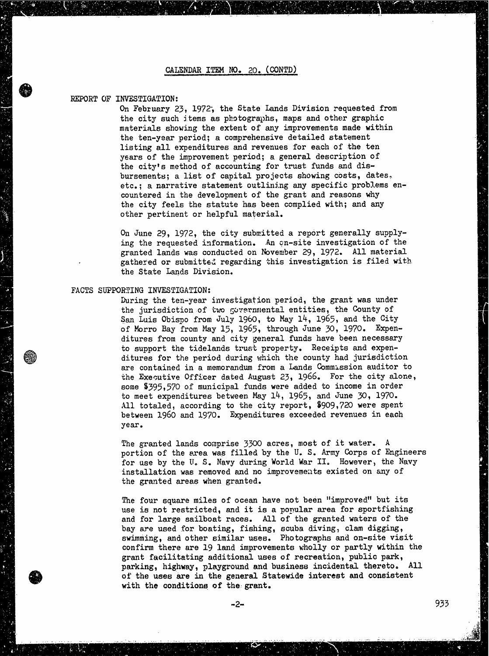#### REPORT OF INVESTIGATION:

On February 23, 1972, the State Lands Division requested from the city such items as photographs, maps and other graphic materials showing the extent of any improvements made within the ten-year period; a comprehensive detailed statement listing all expenditures and revenues for each of the ten years of the improvement period; a general description of the city's method of accounting for trust funds and disbursements; a list of capital projects showing costs, dates, etc.; a narrative statement outlining any specific problems encountered in the development of the grant and reasons why the city feels the statute has been complied with; and any other pertinent or helpful material.

On June 29, 1972, the city submitted a report generally supplying the requested information. An on-site investigation of the granted lands was conducted on November 29, 1972. All material gathered or submitted regarding this investigation is filed with the State Lands Division.

# FACTS SUPPORTING INVESTIGATION:

During the ten-year investigation period, the grant was under the jurisdiction of two governmental entities, the County of San Luis Obispo from July 1960, to May 14, 1965, and the City of Morro Bay from May 15, 1965, through June 30, 1970. Expenditures from county and city general funds have been necessary to support the tidelands trust property. Receipts and expenditures for the period during which the county had jurisdiction are contained in a memorandum from a Lands Commission auditor to the Executive Officer dated August 23, 1966. For the city alone, some \$395,570 of municipal funds were added to income in order to meet expenditures between May 14, 1965, and June 30, 1970. All totaled, according to the city report, \$909,720 were spent between 1960 and 1970. Expenditures exceeded revenues in each year.

The granted lands comprise 3300 acres, most of it water. A portion of the area was filled by the U. S. Army Corps of Engineers for use by the U. S. Navy during World War II. However, the Navy installation was removed and no improvements existed on any of the granted areas when granted.

The four square miles of ocean have not been "improved" but its use is not restricted, and it is a popular area for sportfishing and for large sailboat races. All of the granted waters of the bay are used for boating, fishing, scuba diving, clam digging, swimming, and other similar uses. Photographs and on-site visit confirm there are 19 land improvements wholly or partly within the grant facilitating additional uses of recreation, public park, parking, highway, playground and business incidental thereto. All of the uses are in the general Statewide interest and consistent with the conditions of the grant.